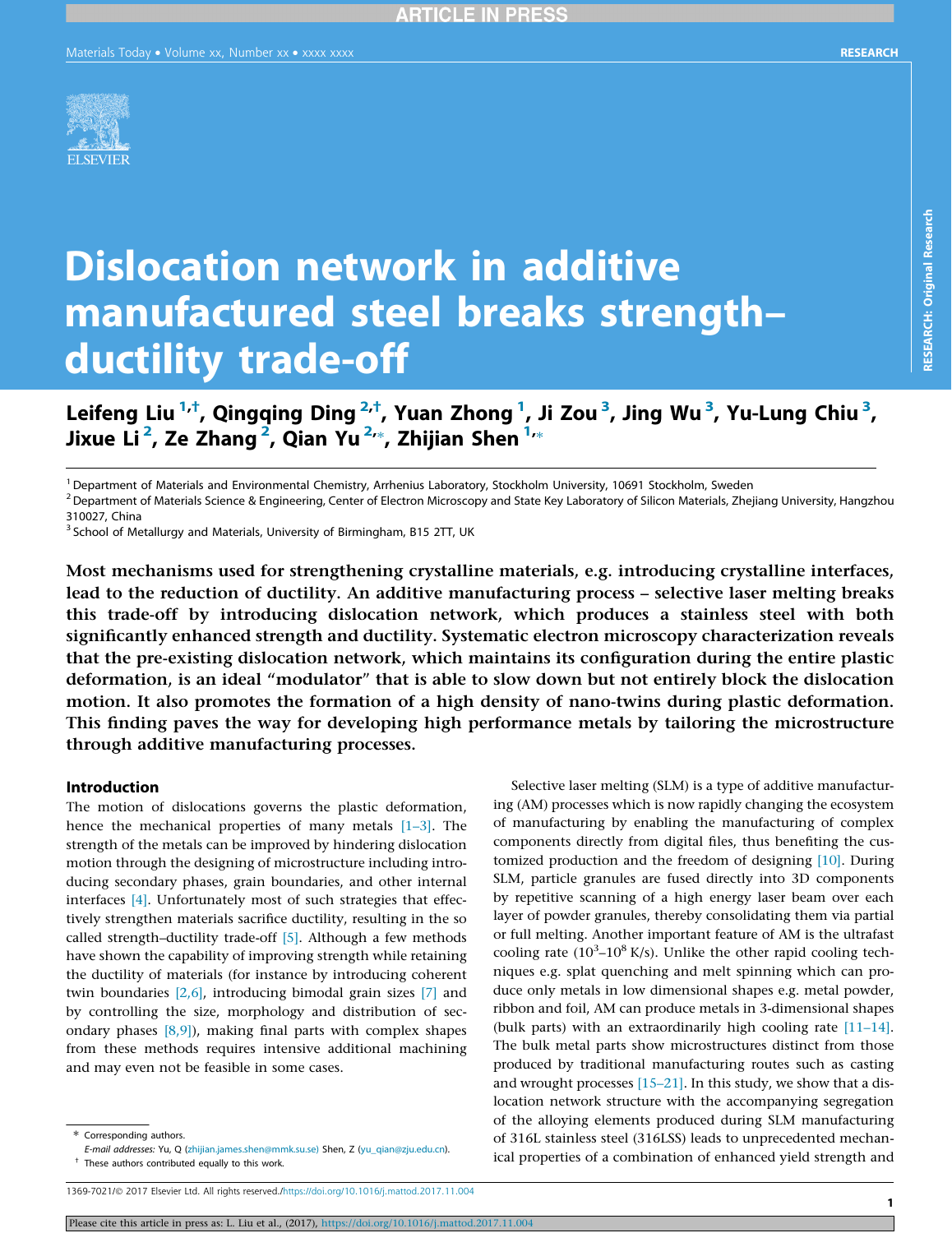

# Dislocation network in additive manufactured steel breaks strength– ductility trade-off

Leifeng Liu <sup>1,†</sup>, Qingqing Ding <sup>2,†</sup>, Yuan Zhong <sup>1</sup>, Ji Zou <sup>3</sup>, Jing Wu <sup>3</sup>, Yu-Lung Chiu <sup>3</sup>, Jixue Li<sup>2</sup>, Ze Zhang<sup>2</sup>, Qian Yu<sup>2,\*</sup>, Zhijian Shen <sup>1,</sup>\*

<sup>1</sup> Department of Materials and Environmental Chemistry, Arrhenius Laboratory, Stockholm University, 10691 Stockholm, Sweden

 $^2$  Department of Materials Science & Engineering, Center of Electron Microscopy and State Key Laboratory of Silicon Materials, Zhejiang University, Hangzhou 310027, China

 $3$  School of Metallurgy and Materials, University of Birmingham, B15 2TT, UK

Most mechanisms used for strengthening crystalline materials, e.g. introducing crystalline interfaces, lead to the reduction of ductility. An additive manufacturing process – selective laser melting breaks this trade-off by introducing dislocation network, which produces a stainless steel with both significantly enhanced strength and ductility. Systematic electron microscopy characterization reveals that the pre-existing dislocation network, which maintains its configuration during the entire plastic deformation, is an ideal "modulator" that is able to slow down but not entirely block the dislocation motion. It also promotes the formation of a high density of nano-twins during plastic deformation. This finding paves the way for developing high performance metals by tailoring the microstructure through additive manufacturing processes.

#### Introduction

The motion of dislocations governs the plastic deformation, hence the mechanical properties of many metals  $[1-3]$ . The strength of the metals can be improved by hindering dislocation motion through the designing of microstructure including introducing secondary phases, grain boundaries, and other internal interfaces [4]. Unfortunately most of such strategies that effectively strengthen materials sacrifice ductility, resulting in the so called strength–ductility trade-off [5]. Although a few methods have shown the capability of improving strength while retaining the ductility of materials (for instance by introducing coherent twin boundaries [2,6], introducing bimodal grain sizes [7] and by controlling the size, morphology and distribution of secondary phases  $[8,9]$ ), making final parts with complex shapes from these methods requires intensive additional machining and may even not be feasible in some cases.

SLM, particle granules are fused directly into 3D components by repetitive scanning of a high energy laser beam over each layer of powder granules, thereby consolidating them via partial or full melting. Another important feature of AM is the ultrafast cooling rate  $(10^3 - 10^8 \text{ K/s})$ . Unlike the other rapid cooling techniques e.g. splat quenching and melt spinning which can produce only metals in low dimensional shapes e.g. metal powder, ribbon and foil, AM can produce metals in 3-dimensional shapes (bulk parts) with an extraordinarily high cooling rate [11–14]. The bulk metal parts show microstructures distinct from those produced by traditional manufacturing routes such as casting and wrought processes [15–21]. In this study, we show that a dislocation network structure with the accompanying segregation of the alloying elements produced during SLM manufacturing of 316L stainless steel (316LSS) leads to unprecedented mechanical properties of a combination of enhanced yield strength and

Selective laser melting (SLM) is a type of additive manufacturing (AM) processes which is now rapidly changing the ecosystem of manufacturing by enabling the manufacturing of complex components directly from digital files, thus benefiting the customized production and the freedom of designing [10]. During RESEARCH: Original Research

**RESEARCH: Original Research** 

E-mail addresses: Yu, Q ([zhijian.james.shen@mmk.su.se\)](mailto:zhijian.james.shen@mmk.su.se) Shen, Z [\(yu\\_qian@zju.edu.cn](mailto:yu_qian@zju.edu.cn)). † These authors contributed equally to this work.

<sup>1369-7021/@ 2017</sup> Elsevier Ltd. All rights reserved.[/https://doi.org/10.1016/j.mattod.2017.11.004](https://doi.org/10.1016/j.mattod.2017.11.004)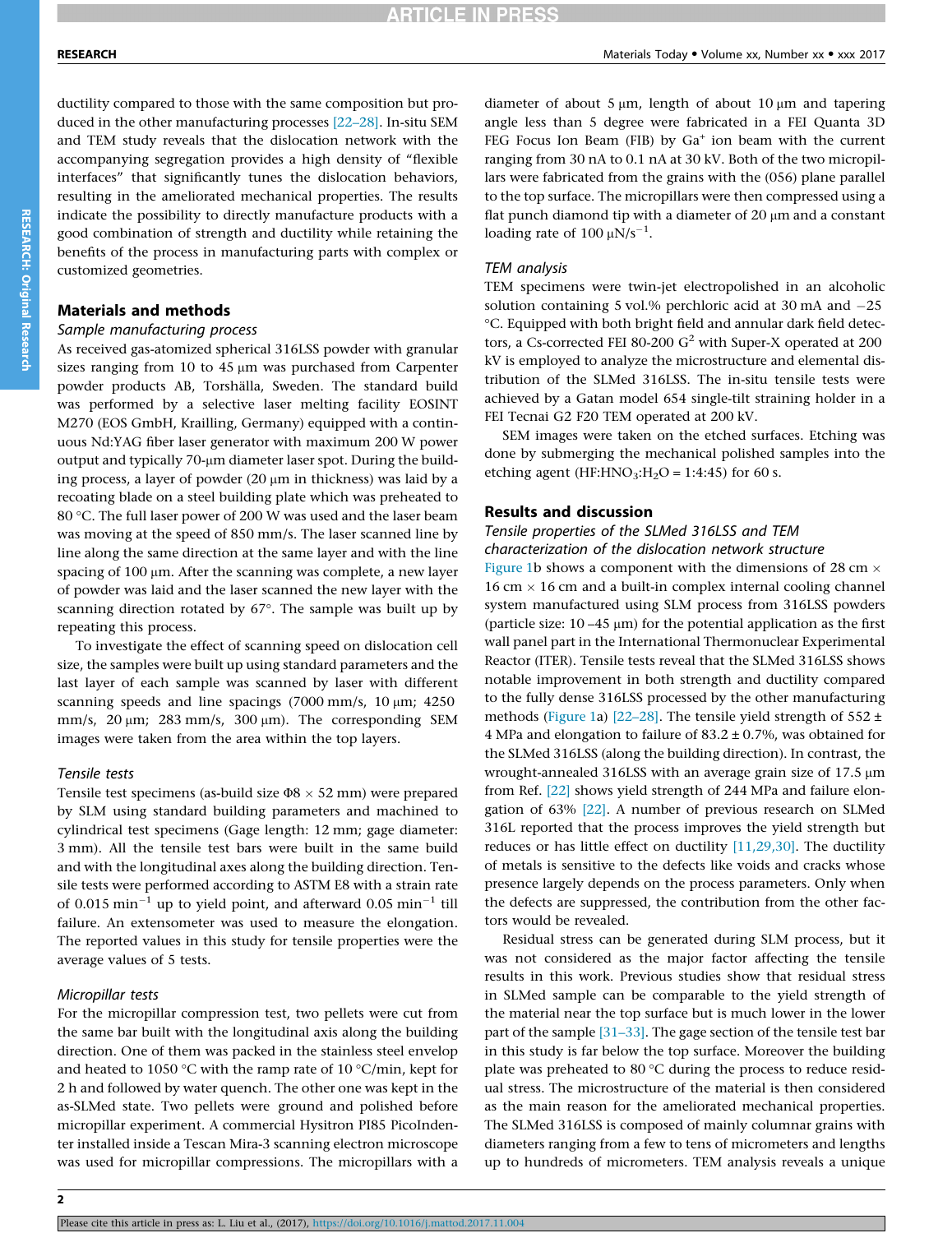ductility compared to those with the same composition but produced in the other manufacturing processes [22–28]. In-situ SEM and TEM study reveals that the dislocation network with the accompanying segregation provides a high density of "flexible interfaces" that significantly tunes the dislocation behaviors, resulting in the ameliorated mechanical properties. The results indicate the possibility to directly manufacture products with a good combination of strength and ductility while retaining the benefits of the process in manufacturing parts with complex or customized geometries.

#### Materials and methods

### Sample manufacturing process

As received gas-atomized spherical 316LSS powder with granular sizes ranging from 10 to 45  $\mu$ m was purchased from Carpenter powder products AB, Torshälla, Sweden. The standard build was performed by a selective laser melting facility EOSINT M270 (EOS GmbH, Krailling, Germany) equipped with a continuous Nd:YAG fiber laser generator with maximum 200 W power output and typically 70-µm diameter laser spot. During the building process, a layer of powder  $(20 \mu m)$  in thickness) was laid by a recoating blade on a steel building plate which was preheated to 80 °C. The full laser power of 200 W was used and the laser beam was moving at the speed of 850 mm/s. The laser scanned line by line along the same direction at the same layer and with the line spacing of 100 µm. After the scanning was complete, a new layer of powder was laid and the laser scanned the new layer with the scanning direction rotated by  $67^\circ$ . The sample was built up by repeating this process.

To investigate the effect of scanning speed on dislocation cell size, the samples were built up using standard parameters and the last layer of each sample was scanned by laser with different scanning speeds and line spacings  $(7000 \text{ mm/s}, 10 \text{ }\mu\text{m}; 4250$ mm/s,  $20 \mu m$ ;  $283 \text{ mm/s}$ ,  $300 \mu m$ ). The corresponding SEM images were taken from the area within the top layers.

#### Tensile tests

Tensile test specimens (as-build size  $\Phi$ 8  $\times$  52 mm) were prepared by SLM using standard building parameters and machined to cylindrical test specimens (Gage length: 12 mm; gage diameter: 3 mm). All the tensile test bars were built in the same build and with the longitudinal axes along the building direction. Tensile tests were performed according to ASTM E8 with a strain rate of 0.015  $min^{-1}$  up to yield point, and afterward 0.05  $min^{-1}$  till failure. An extensometer was used to measure the elongation. The reported values in this study for tensile properties were the average values of 5 tests.

#### Micropillar tests

For the micropillar compression test, two pellets were cut from the same bar built with the longitudinal axis along the building direction. One of them was packed in the stainless steel envelop and heated to 1050 °C with the ramp rate of 10 °C/min, kept for 2 h and followed by water quench. The other one was kept in the as-SLMed state. Two pellets were ground and polished before micropillar experiment. A commercial Hysitron PI85 PicoIndenter installed inside a Tescan Mira-3 scanning electron microscope was used for micropillar compressions. The micropillars with a

diameter of about 5  $\mu$ m, length of about 10  $\mu$ m and tapering angle less than 5 degree were fabricated in a FEI Quanta 3D FEG Focus Ion Beam (FIB) by  $Ga<sup>+</sup>$  ion beam with the current ranging from 30 nA to 0.1 nA at 30 kV. Both of the two micropillars were fabricated from the grains with the (056) plane parallel to the top surface. The micropillars were then compressed using a flat punch diamond tip with a diameter of  $20 \mu m$  and a constant loading rate of  $100 \mu N/s^{-1}$ .

#### TEM analysis

TEM specimens were twin-jet electropolished in an alcoholic solution containing 5 vol.% perchloric acid at 30 mA and  $-25$ C. Equipped with both bright field and annular dark field detectors, a Cs-corrected FEI 80-200  $G^2$  with Super-X operated at 200 kV is employed to analyze the microstructure and elemental distribution of the SLMed 316LSS. The in-situ tensile tests were achieved by a Gatan model 654 single-tilt straining holder in a FEI Tecnai G2 F20 TEM operated at 200 kV.

SEM images were taken on the etched surfaces. Etching was done by submerging the mechanical polished samples into the etching agent (HF:HNO<sub>3</sub>:H<sub>2</sub>O = 1:4:45) for 60 s.

#### Results and discussion

#### Tensile properties of the SLMed 316LSS and TEM characterization of the dislocation network structure

Figure 1b shows a component with the dimensions of 28 cm  $\times$  $16$  cm  $\times$  16 cm and a built-in complex internal cooling channel system manufactured using SLM process from 316LSS powders (particle size:  $10 - 45 \mu m$ ) for the potential application as the first wall panel part in the International Thermonuclear Experimental Reactor (ITER). Tensile tests reveal that the SLMed 316LSS shows notable improvement in both strength and ductility compared to the fully dense 316LSS processed by the other manufacturing methods (Figure 1a) [22-28]. The tensile yield strength of  $552 \pm$ 4 MPa and elongation to failure of  $83.2 \pm 0.7$ %, was obtained for the SLMed 316LSS (along the building direction). In contrast, the wrought-annealed 316LSS with an average grain size of  $17.5 \mu m$ from Ref. [22] shows yield strength of 244 MPa and failure elongation of 63% [22]. A number of previous research on SLMed 316L reported that the process improves the yield strength but reduces or has little effect on ductility [11,29,30]. The ductility of metals is sensitive to the defects like voids and cracks whose presence largely depends on the process parameters. Only when the defects are suppressed, the contribution from the other factors would be revealed.

Residual stress can be generated during SLM process, but it was not considered as the major factor affecting the tensile results in this work. Previous studies show that residual stress in SLMed sample can be comparable to the yield strength of the material near the top surface but is much lower in the lower part of the sample [31-33]. The gage section of the tensile test bar in this study is far below the top surface. Moreover the building plate was preheated to 80  $\degree$ C during the process to reduce residual stress. The microstructure of the material is then considered as the main reason for the ameliorated mechanical properties. The SLMed 316LSS is composed of mainly columnar grains with diameters ranging from a few to tens of micrometers and lengths up to hundreds of micrometers. TEM analysis reveals a unique